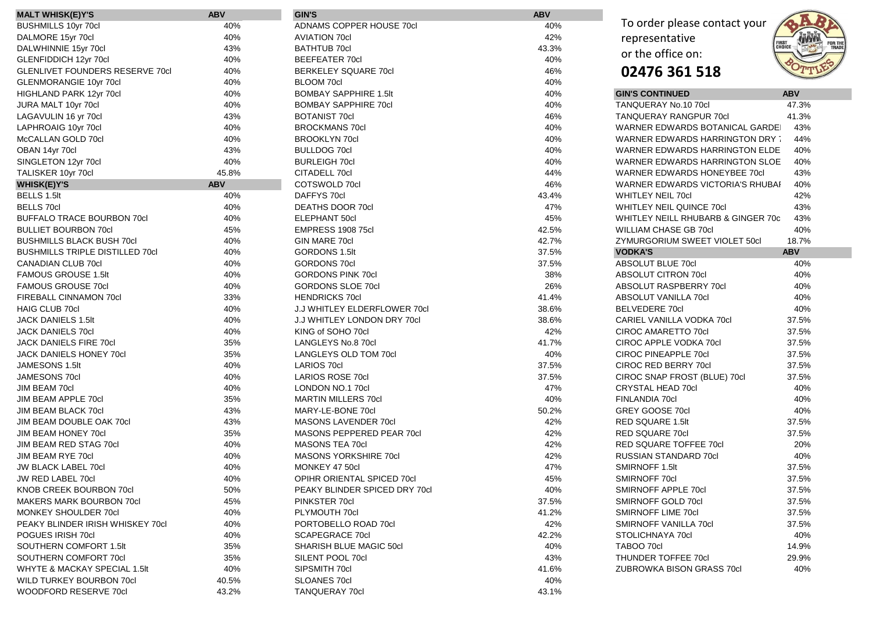| <b>MALT WHISK(E)Y'S</b>                | <b>ABV</b> | <b>GIN'S</b>                        | <b>ABV</b> |                                    |                                           |
|----------------------------------------|------------|-------------------------------------|------------|------------------------------------|-------------------------------------------|
| <b>BUSHMILLS 10yr 70cl</b>             | 40%        | ADNAMS COPPER HOUSE 70cl            | 40%        | To order please contact your       |                                           |
| DALMORE 15yr 70cl                      | 40%        | <b>AVIATION 70cl</b>                | 42%        | representative                     | <b>JANAR</b>                              |
| DALWHINNIE 15yr 70cl                   | 43%        | <b>BATHTUB 70cl</b>                 | 43.3%      | or the office on:                  | <b>FIRST<br/>CHOICE</b><br>FOR TH<br>TRAD |
| GLENFIDDICH 12yr 70cl                  | 40%        | <b>BEEFEATER 70cl</b>               | 40%        |                                    |                                           |
| <b>GLENLIVET FOUNDERS RESERVE 70cl</b> | 40%        | <b>BERKELEY SQUARE 70cl</b>         | 46%        | 02476 361 518                      |                                           |
| GLENMORANGIE 10yr 70cl                 | 40%        | <b>BLOOM 70cl</b>                   | 40%        |                                    |                                           |
| HIGHLAND PARK 12yr 70cl                | 40%        | <b>BOMBAY SAPPHIRE 1.5It</b>        | 40%        | <b>GIN'S CONTINUED</b>             | <b>ABV</b>                                |
| JURA MALT 10yr 70cl                    | 40%        | <b>BOMBAY SAPPHIRE 70cl</b>         | 40%        | TANQUERAY No.10 70cl               | 47.3%                                     |
| LAGAVULIN 16 yr 70cl                   | 43%        | <b>BOTANIST 70cl</b>                | 46%        | <b>TANQUERAY RANGPUR 70cl</b>      | 41.3%                                     |
| LAPHROAIG 10yr 70cl                    | 40%        | <b>BROCKMANS 70cl</b>               | 40%        | WARNER EDWARDS BOTANICAL GARDE     | 43%                                       |
| McCALLAN GOLD 70cl                     | 40%        | <b>BROOKLYN 70cl</b>                | 40%        | WARNER EDWARDS HARRINGTON DRY      | 44%                                       |
| OBAN 14yr 70cl                         | 43%        | <b>BULLDOG 70cl</b>                 | 40%        | WARNER EDWARDS HARRINGTON ELDE     | 40%                                       |
| SINGLETON 12yr 70cl                    | 40%        | <b>BURLEIGH 70cl</b>                | 40%        | WARNER EDWARDS HARRINGTON SLOE     | 40%                                       |
| TALISKER 10yr 70cl                     | 45.8%      | CITADELL 70cl                       | 44%        | WARNER EDWARDS HONEYBEE 70cl       | 43%                                       |
| <b>WHISK(E)Y'S</b>                     | <b>ABV</b> | COTSWOLD 70cl                       | 46%        | WARNER EDWARDS VICTORIA'S RHUBAI   | 40%                                       |
| BELLS 1.5lt                            | 40%        | DAFFYS 70cl                         | 43.4%      | <b>WHITLEY NEIL 70cl</b>           | 42%                                       |
| <b>BELLS 70cl</b>                      | 40%        | <b>DEATHS DOOR 70cl</b>             | 47%        | <b>WHITLEY NEIL QUINCE 70cl</b>    | 43%                                       |
| <b>BUFFALO TRACE BOURBON 70cl</b>      | 40%        | <b>ELEPHANT 50cl</b>                | 45%        | WHITLEY NEILL RHUBARB & GINGER 70c | 43%                                       |
| <b>BULLIET BOURBON 70cl</b>            | 45%        | <b>EMPRESS 1908 75cl</b>            | 42.5%      | WILLIAM CHASE GB 70cl              | 40%                                       |
| <b>BUSHMILLS BLACK BUSH 70cl</b>       | 40%        | GIN MARE 70cl                       | 42.7%      | ZYMURGORIUM SWEET VIOLET 50cl      | 18.7%                                     |
| <b>BUSHMILLS TRIPLE DISTILLED 70cl</b> | 40%        | <b>GORDONS 1.5lt</b>                | 37.5%      | <b>VODKA'S</b>                     | <b>ABV</b>                                |
| <b>CANADIAN CLUB 70cl</b>              | 40%        | <b>GORDONS 70cl</b>                 | 37.5%      | ABSOLUT BLUE 70cl                  | 40%                                       |
| <b>FAMOUS GROUSE 1.5It</b>             | 40%        | <b>GORDONS PINK 70cl</b>            | 38%        | ABSOLUT CITRON 70cl                | 40%                                       |
| FAMOUS GROUSE 70cl                     | 40%        | <b>GORDONS SLOE 70cl</b>            | 26%        | ABSOLUT RASPBERRY 70cl             | 40%                                       |
| FIREBALL CINNAMON 70cl                 | 33%        | <b>HENDRICKS 70cl</b>               | 41.4%      | ABSOLUT VANILLA 70cl               | 40%                                       |
| <b>HAIG CLUB 70cl</b>                  | 40%        | <b>J.J WHITLEY ELDERFLOWER 70cl</b> | 38.6%      | <b>BELVEDERE 70cl</b>              | 40%                                       |
| <b>JACK DANIELS 1.5It</b>              | 40%        | <b>J.J WHITLEY LONDON DRY 70cl</b>  | 38.6%      | CARIEL VANILLA VODKA 70cl          | 37.5%                                     |
| <b>JACK DANIELS 70cl</b>               | 40%        | KING of SOHO 70cl                   | 42%        | CIROC AMARETTO 70cl                | 37.5%                                     |
| JACK DANIELS FIRE 70cl                 | 35%        | LANGLEYS No.8 70cl                  | 41.7%      | CIROC APPLE VODKA 70cl             | 37.5%                                     |
| JACK DANIELS HONEY 70cl                | 35%        | LANGLEYS OLD TOM 70cl               | 40%        | CIROC PINEAPPLE 70cl               | 37.5%                                     |
| JAMESONS 1.5lt                         | 40%        | LARIOS 70cl                         | 37.5%      | <b>CIROC RED BERRY 70cl</b>        | 37.5%                                     |
| JAMESONS 70cl                          | 40%        | LARIOS ROSE 70cl                    | 37.5%      | CIROC SNAP FROST (BLUE) 70cl       | 37.5%                                     |
| JIM BEAM 70cl                          | 40%        | LONDON NO.1 70cl                    | 47%        | <b>CRYSTAL HEAD 70cl</b>           | 40%                                       |
| <b>JIM BEAM APPLE 70cl</b>             | 35%        | <b>MARTIN MILLERS 70cl</b>          | 40%        | FINLANDIA 70cl                     | 40%                                       |
| <b>JIM BEAM BLACK 70cl</b>             | 43%        | MARY-LE-BONE 70cl                   | 50.2%      | GREY GOOSE 70cl                    | 40%                                       |
| JIM BEAM DOUBLE OAK 70cl               | 43%        | MASONS LAVENDER 70cl                | 42%        | RED SQUARE 1.5lt                   | 37.5%                                     |
| JIM BEAM HONEY 70cl                    | 35%        | MASONS PEPPERED PEAR 70cl           | 42%        | <b>RED SQUARE 70cl</b>             | 37.5%                                     |
| JIM BEAM RED STAG 70cl                 | 40%        | MASONS TEA 70cl                     | 42%        | RED SQUARE TOFFEE 70cl             | 20%                                       |
| JIM BEAM RYE 70cl                      | 40%        | MASONS YORKSHIRE 70cl               | 42%        | <b>RUSSIAN STANDARD 70cl</b>       | 40%                                       |
| <b>JW BLACK LABEL 70cl</b>             | 40%        | MONKEY 47 50cl                      | 47%        | SMIRNOFF 1.5lt                     | 37.5%                                     |
| JW RED LABEL 70cl                      | 40%        | OPIHR ORIENTAL SPICED 70cl          | 45%        | SMIRNOFF 70cl                      | 37.5%                                     |
| KNOB CREEK BOURBON 70cl                | 50%        | PEAKY BLINDER SPICED DRY 70cl       | 40%        | SMIRNOFF APPLE 70cl                | 37.5%                                     |
| MAKERS MARK BOURBON 70cl               | 45%        | PINKSTER 70cl                       | 37.5%      | SMIRNOFF GOLD 70cl                 | 37.5%                                     |
| MONKEY SHOULDER 70cl                   | 40%        | PLYMOUTH 70cl                       | 41.2%      | SMIRNOFF LIME 70cl                 | 37.5%                                     |
| PEAKY BLINDER IRISH WHISKEY 70cl       | 40%        | PORTOBELLO ROAD 70cl                | 42%        | SMIRNOFF VANILLA 70cl              | 37.5%                                     |
| POGUES IRISH 70cl                      | 40%        | <b>SCAPEGRACE 70cl</b>              | 42.2%      | STOLICHNAYA 70cl                   | 40%                                       |
| SOUTHERN COMFORT 1.5It                 | 35%        | <b>SHARISH BLUE MAGIC 50cl</b>      | 40%        | TABOO 70cl                         | 14.9%                                     |
| SOUTHERN COMFORT 70cl                  | 35%        | SILENT POOL 70cl                    | 43%        | THUNDER TOFFEE 70cl                | 29.9%                                     |
| WHYTE & MACKAY SPECIAL 1.5It           | 40%        | SIPSMITH 70cl                       | 41.6%      | ZUBROWKA BISON GRASS 70cl          | 40%                                       |
| <b>WILD TURKEY BOURBON 70cl</b>        | 40.5%      | SLOANES 70cl                        | 40%        |                                    |                                           |
| WOODFORD RESERVE 70cl                  | 43.2%      | <b>TANQUERAY 70cl</b>               | 43.1%      |                                    |                                           |

| To order please contact your<br>representative<br>or the office on:<br>02476 361 518 | FIR <mark>st</mark><br>Choice |
|--------------------------------------------------------------------------------------|-------------------------------|
| <b>GIN'S CONTINUED</b>                                                               | <b>ABV</b>                    |
| TANQUERAY No.10 70cl                                                                 | 47.3%                         |
| TANQUERAY RANGPUR 70cl                                                               | 41.3%                         |
| WARNER EDWARDS BOTANICAL GARDE                                                       | 43%                           |
| WARNER EDWARDS HARRINGTON DRY                                                        | 44%                           |
| WARNER EDWARDS HARRINGTON ELDE                                                       | 40%                           |
| WARNER EDWARDS HARRINGTON SLOE                                                       | 40%                           |
| WARNER EDWARDS HONEYBEE 70cl                                                         | 43%                           |
| WARNER EDWARDS VICTORIA'S RHUBAI                                                     | 40%                           |
| <b>WHITLEY NEIL 70cl</b>                                                             | 42%                           |
| WHITLEY NEIL QUINCE 70cl                                                             | 43%                           |
| WHITLEY NEILL RHUBARB & GINGER 70c                                                   | 43%                           |
| WILLIAM CHASE GB 70cl                                                                | 40%                           |
| ZYMURGORIUM SWEET VIOLET 50cl                                                        | 18.7%                         |
| <b>VODKA'S</b>                                                                       | <b>ABV</b>                    |
| ABSOLUT BLUE 70cl                                                                    | 40%                           |
| ABSOLUT CITRON 70cl                                                                  | 40%                           |
| ABSOLUT RASPBERRY 70cl                                                               | 40%                           |
| ABSOLUT VANILLA 70cl                                                                 | 40%                           |
| BELVEDERE 70cl                                                                       | 40%                           |
| CARIEL VANILLA VODKA 70cl                                                            | 37.5%                         |
| CIROC AMARETTO 70cl                                                                  | 37.5%                         |
| CIROC APPLE VODKA 70cl                                                               | 37.5%                         |
| CIROC PINEAPPLE 70cl                                                                 | 37.5%                         |
| CIROC RED BERRY 70cl                                                                 | 37.5%                         |
| CIROC SNAP FROST (BLUE) 70cl                                                         | 37.5%                         |
| CRYSTAL HEAD 70cl                                                                    | 40%                           |
| FINLANDIA 70cl                                                                       | 40%                           |
| GREY GOOSE 70cl                                                                      | 40%                           |
| RED SQUARE 1.5lt                                                                     | 37.5%                         |
| RED SQUARE 70cl                                                                      | 37.5%                         |
| RED SQUARE TOFFEE 70cl                                                               | 20%                           |
| RUSSIAN STANDARD 70cl                                                                | 40%                           |
| SMIRNOFF 1.5lt                                                                       | 37.5%                         |
| SMIRNOFF 70cl                                                                        | 37.5%                         |
| SMIRNOFF APPLE 70cl                                                                  | 37.5%                         |
| SMIRNOFF GOLD 70cl                                                                   | 37.5%                         |
| SMIRNOFF LIME 70cl                                                                   | 37.5%                         |
| SMIRNOFF VANILLA 70cl                                                                | 37.5%                         |
| STOLICHNAYA 70cl                                                                     | 40%                           |
| TABOO 70cl                                                                           | 14.9%                         |
| THUNDER TOFFEE 70cl                                                                  | 29.9%                         |
| ZUBROWKA BISON GRASS 70cl                                                            | 40%                           |
|                                                                                      |                               |